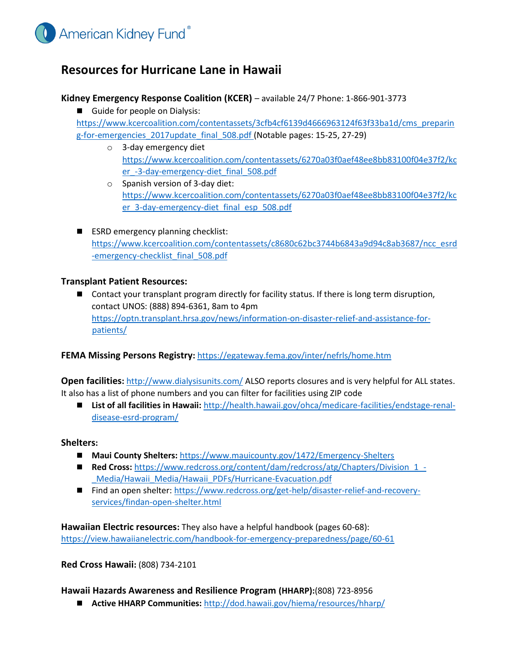

# **Resources for Hurricane Lane in Hawaii**

### **Kidney Emergency Response Coalition (KCER)** – available 24/7 Phone: 1-866-901-3773

Guide for people on Dialysis:

https://www.kcercoalition.com/contentassets/3cfb4cf6139d4666963124f63f33ba1d/cms\_preparin g-for-emergencies\_2017update\_final\_508.pdf (Notable pages: 15-25, 27-29)

- o 3-day emergency diet [https://www.kcercoalition.com/contentassets/6270a03f0aef48ee8bb83100f04e37f2/kc](https://www.kcercoalition.com/contentassets/6270a03f0aef48ee8bb83100f04e37f2/kcer_-3-day-emergency-diet_final_508.pdf) er -3-day-emergency-diet final 508.pdf
- o Spanish version of 3-day diet: [https://www.kcercoalition.com/contentassets/6270a03f0aef48ee8bb83100f04e37f2/kc](https://www.kcercoalition.com/contentassets/6270a03f0aef48ee8bb83100f04e37f2/kcer_3-day-emergency-diet_final_esp_508.pdf) [er\\_3-day-emergency-diet\\_final\\_esp\\_508.pdf](https://www.kcercoalition.com/contentassets/6270a03f0aef48ee8bb83100f04e37f2/kcer_3-day-emergency-diet_final_esp_508.pdf)
- ESRD emergency planning checklist: [https://www.kcercoalition.com/contentassets/c8680c62bc3744b6843a9d94c8ab3687/ncc\\_esrd](https://www.kcercoalition.com/contentassets/c8680c62bc3744b6843a9d94c8ab3687/ncc_esrd-emergency-checklist_final_508.pdf) -emergency-checklist final 508.pdf

#### **Transplant Patient Resources:**

**Demogrant Contact your transplant program directly for facility status. If there is long term disruption,** contact UNOS: (888) 894-6361, 8am to 4pm [https://optn.transplant.hrsa.gov/news/information-on-disaster-relief-and-assistance-for](https://optn.transplant.hrsa.gov/news/information-on-disaster-relief-and-assistance-for-patients/)[patients/](https://optn.transplant.hrsa.gov/news/information-on-disaster-relief-and-assistance-for-patients/)

## **FEMA Missing Persons Registry[:](https://egateway.fema.gov/inter/nefrls/home.htm)** <https://egateway.fema.gov/inter/nefrls/home.htm>

**Open facilities:** <http://www.dialysisunits.com/> [A](http://www.dialysisunits.com/)LSO reports closures and is very helpful for ALL states. It also has a list of phone numbers and you can filter for facilities using ZIP code

■ List of all facilities in Hawaii: [http://health.hawaii.gov/ohca/medicare-facilities/endstage-renal](http://health.hawaii.gov/ohca/medicare-facilities/end-stage-renal-disease-esrd-program/)[disease-esrd-program/](http://health.hawaii.gov/ohca/medicare-facilities/end-stage-renal-disease-esrd-program/)

#### **Shelters:**

- Maui County Shelters: <https://www.mauicounty.gov/1472/Emergency-Shelters>
- **Red Cross:** https://www.redcross.org/content/dam/redcross/atg/Chapters/Division 1 -[\\_Media/Hawaii\\_Media/Hawaii\\_PDFs/Hurricane-Evacuation.pdf](https://www.redcross.org/content/dam/redcross/atg/Chapters/Division_1_-_Media/Hawaii_Media/Hawaii_PDFs/Hurricane-Evacuation.pdf)
- Find an open shelter: [https://www.redcross.org/get-help/disaster-relief-and-recovery](https://www.redcross.org/get-help/disaster-relief-and-recovery-services/find-an-open-shelter.html)[services/findan-open-shelter.html](https://www.redcross.org/get-help/disaster-relief-and-recovery-services/find-an-open-shelter.html)

**Hawaiian Electric resources:** They also have a helpful handbook (pages 60-68): <https://view.hawaiianelectric.com/handbook-for-emergency-preparedness/page/60-61>

**Red Cross Hawaii:** (808) 734-2101

**Hawaii Hazards Awareness and Resilience Program (HHARP):**(808) 723-8956

**Active HHARP Communities:** <http://dod.hawaii.gov/hiema/resources/hharp/>